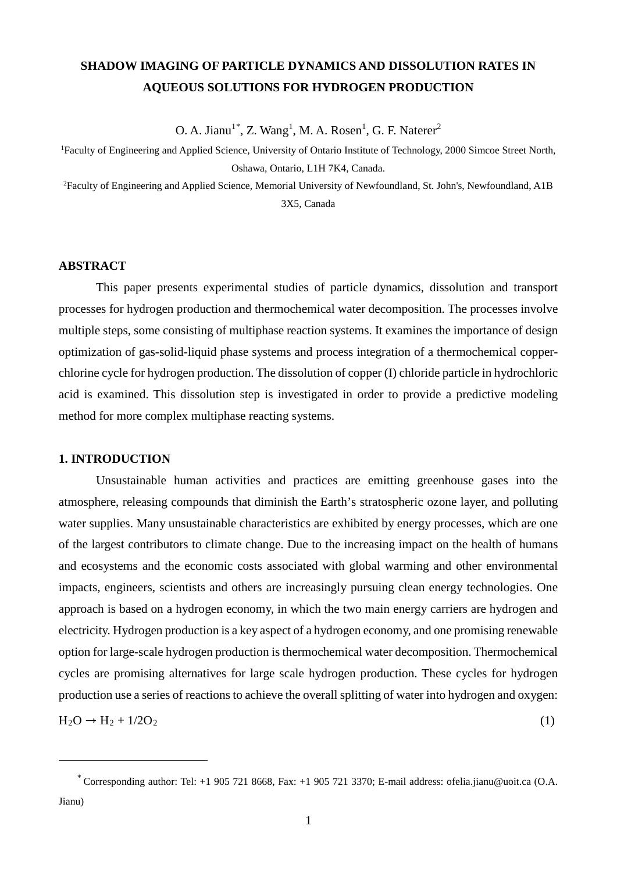# **SHADOW IMAGING OF PARTICLE DYNAMICS AND DISSOLUTION RATES IN AQUEOUS SOLUTIONS FOR HYDROGEN PRODUCTION**

O. A. Jianu<sup>1[\\*](#page-0-0)</sup>, Z. Wang<sup>1</sup>, M. A. Rosen<sup>1</sup>, G. F. Naterer<sup>2</sup>

1 Faculty of Engineering and Applied Science, University of Ontario Institute of Technology, 2000 Simcoe Street North, Oshawa, Ontario, L1H 7K4, Canada.

2 Faculty of Engineering and Applied Science, Memorial University of Newfoundland, St. John's, Newfoundland, A1B 3X5, Canada

### **ABSTRACT**

This paper presents experimental studies of particle dynamics, dissolution and transport processes for hydrogen production and thermochemical water decomposition. The processes involve multiple steps, some consisting of multiphase reaction systems. It examines the importance of design optimization of gas-solid-liquid phase systems and process integration of a thermochemical copperchlorine cycle for hydrogen production. The dissolution of copper (I) chloride particle in hydrochloric acid is examined. This dissolution step is investigated in order to provide a predictive modeling method for more complex multiphase reacting systems.

### **1. INTRODUCTION**

Unsustainable human activities and practices are emitting greenhouse gases into the atmosphere, releasing compounds that diminish the Earth's stratospheric ozone layer, and polluting water supplies. Many unsustainable characteristics are exhibited by energy processes, which are one of the largest contributors to climate change. Due to the increasing impact on the health of humans and ecosystems and the economic costs associated with global warming and other environmental impacts, engineers, scientists and others are increasingly pursuing clean energy technologies. One approach is based on a hydrogen economy, in which the two main energy carriers are hydrogen and electricity. Hydrogen production is a key aspect of a hydrogen economy, and one promising renewable option for large-scale hydrogen production is thermochemical water decomposition. Thermochemical cycles are promising alternatives for large scale hydrogen production. These cycles for hydrogen production use a series of reactions to achieve the overall splitting of water into hydrogen and oxygen:

 $H_2O \to H_2 + 1/2O_2$  (1)

<u>.</u>

<span id="page-0-0"></span><sup>\*</sup> Corresponding author: Tel: +1 905 721 8668, Fax: +1 905 721 3370; E-mail address: ofelia.jianu@uoit.ca (O.A. Jianu)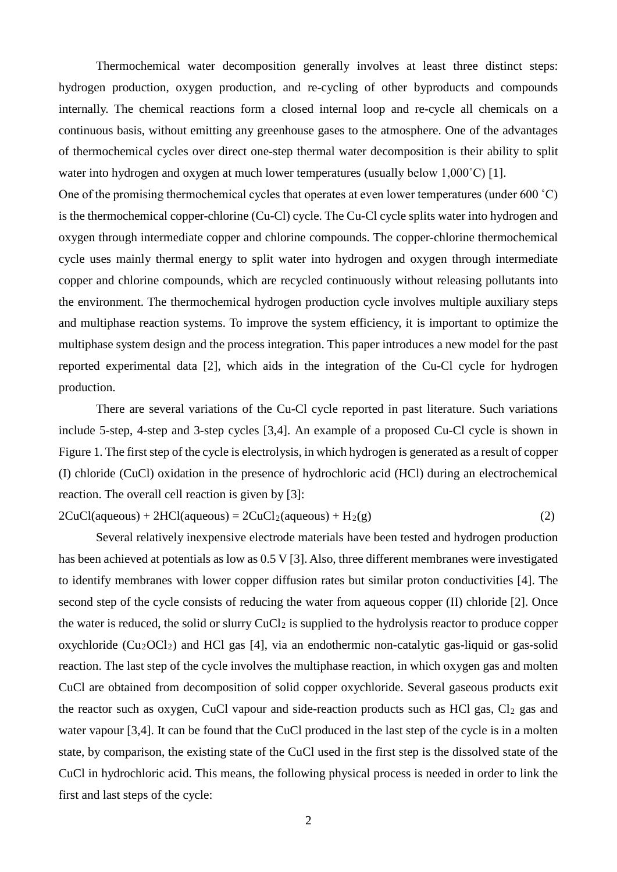Thermochemical water decomposition generally involves at least three distinct steps: hydrogen production, oxygen production, and re-cycling of other byproducts and compounds internally. The chemical reactions form a closed internal loop and re-cycle all chemicals on a continuous basis, without emitting any greenhouse gases to the atmosphere. One of the advantages of thermochemical cycles over direct one-step thermal water decomposition is their ability to split water into hydrogen and oxygen at much lower temperatures (usually below 1,000°C) [1].

One of the promising thermochemical cycles that operates at even lower temperatures (under 600 ˚C) is the thermochemical copper-chlorine (Cu-Cl) cycle. The Cu-Cl cycle splits water into hydrogen and oxygen through intermediate copper and chlorine compounds. The copper-chlorine thermochemical cycle uses mainly thermal energy to split water into hydrogen and oxygen through intermediate copper and chlorine compounds, which are recycled continuously without releasing pollutants into the environment. The thermochemical hydrogen production cycle involves multiple auxiliary steps and multiphase reaction systems. To improve the system efficiency, it is important to optimize the multiphase system design and the process integration. This paper introduces a new model for the past reported experimental data [2], which aids in the integration of the Cu-Cl cycle for hydrogen production.

There are several variations of the Cu-Cl cycle reported in past literature. Such variations include 5-step, 4-step and 3-step cycles [3,4]. An example of a proposed Cu-Cl cycle is shown in Figure 1. The first step of the cycle is electrolysis, in which hydrogen is generated as a result of copper (I) chloride (CuCl) oxidation in the presence of hydrochloric acid (HCl) during an electrochemical reaction. The overall cell reaction is given by [3]:

 $2CuCl(aqueous) + 2HCl(aqueous) = 2CuCl<sub>2</sub>(aqueous) + H<sub>2</sub>(g)$  (2)

Several relatively inexpensive electrode materials have been tested and hydrogen production has been achieved at potentials as low as 0.5 V [3]. Also, three different membranes were investigated to identify membranes with lower copper diffusion rates but similar proton conductivities [4]. The second step of the cycle consists of reducing the water from aqueous copper (II) chloride [2]. Once the water is reduced, the solid or slurry  $CuCl<sub>2</sub>$  is supplied to the hydrolysis reactor to produce copper oxychloride  $(Cu_2OCl_2)$  and HCl gas [4], via an endothermic non-catalytic gas-liquid or gas-solid reaction. The last step of the cycle involves the multiphase reaction, in which oxygen gas and molten CuCl are obtained from decomposition of solid copper oxychloride. Several gaseous products exit the reactor such as oxygen, CuCl vapour and side-reaction products such as HCl gas,  $Cl_2$  gas and water vapour [3,4]. It can be found that the CuCl produced in the last step of the cycle is in a molten state, by comparison, the existing state of the CuCl used in the first step is the dissolved state of the CuCl in hydrochloric acid. This means, the following physical process is needed in order to link the first and last steps of the cycle: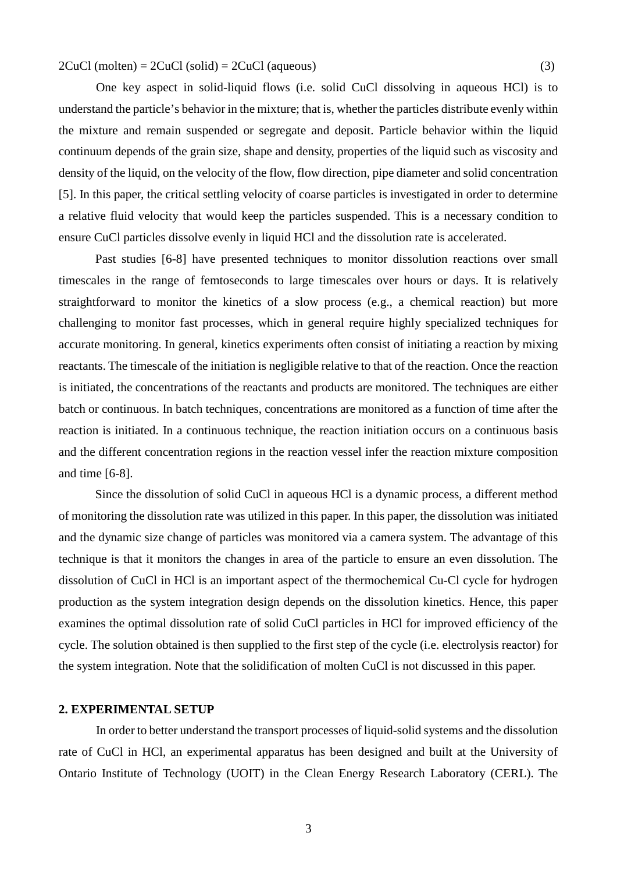# $2CuCl (molten) = 2CuCl (solid) = 2CuCl (aqueous)$  (3)

One key aspect in solid-liquid flows (i.e. solid CuCl dissolving in aqueous HCl) is to understand the particle's behavior in the mixture; that is, whether the particles distribute evenly within the mixture and remain suspended or segregate and deposit. Particle behavior within the liquid continuum depends of the grain size, shape and density, properties of the liquid such as viscosity and density of the liquid, on the velocity of the flow, flow direction, pipe diameter and solid concentration [5]. In this paper, the critical settling velocity of coarse particles is investigated in order to determine a relative fluid velocity that would keep the particles suspended. This is a necessary condition to ensure CuCl particles dissolve evenly in liquid HCl and the dissolution rate is accelerated.

Past studies [6-8] have presented techniques to monitor dissolution reactions over small timescales in the range of femtoseconds to large timescales over hours or days. It is relatively straightforward to monitor the kinetics of a slow process (e.g., a chemical reaction) but more challenging to monitor fast processes, which in general require highly specialized techniques for accurate monitoring. In general, kinetics experiments often consist of initiating a reaction by mixing reactants. The timescale of the initiation is negligible relative to that of the reaction. Once the reaction is initiated, the concentrations of the reactants and products are monitored. The techniques are either batch or continuous. In batch techniques, concentrations are monitored as a function of time after the reaction is initiated. In a continuous technique, the reaction initiation occurs on a continuous basis and the different concentration regions in the reaction vessel infer the reaction mixture composition and time [6-8].

Since the dissolution of solid CuCl in aqueous HCl is a dynamic process, a different method of monitoring the dissolution rate was utilized in this paper. In this paper, the dissolution was initiated and the dynamic size change of particles was monitored via a camera system. The advantage of this technique is that it monitors the changes in area of the particle to ensure an even dissolution. The dissolution of CuCl in HCl is an important aspect of the thermochemical Cu-Cl cycle for hydrogen production as the system integration design depends on the dissolution kinetics. Hence, this paper examines the optimal dissolution rate of solid CuCl particles in HCl for improved efficiency of the cycle. The solution obtained is then supplied to the first step of the cycle (i.e. electrolysis reactor) for the system integration. Note that the solidification of molten CuCl is not discussed in this paper.

#### **2. EXPERIMENTAL SETUP**

In order to better understand the transport processes of liquid-solid systems and the dissolution rate of CuCl in HCl, an experimental apparatus has been designed and built at the University of Ontario Institute of Technology (UOIT) in the Clean Energy Research Laboratory (CERL). The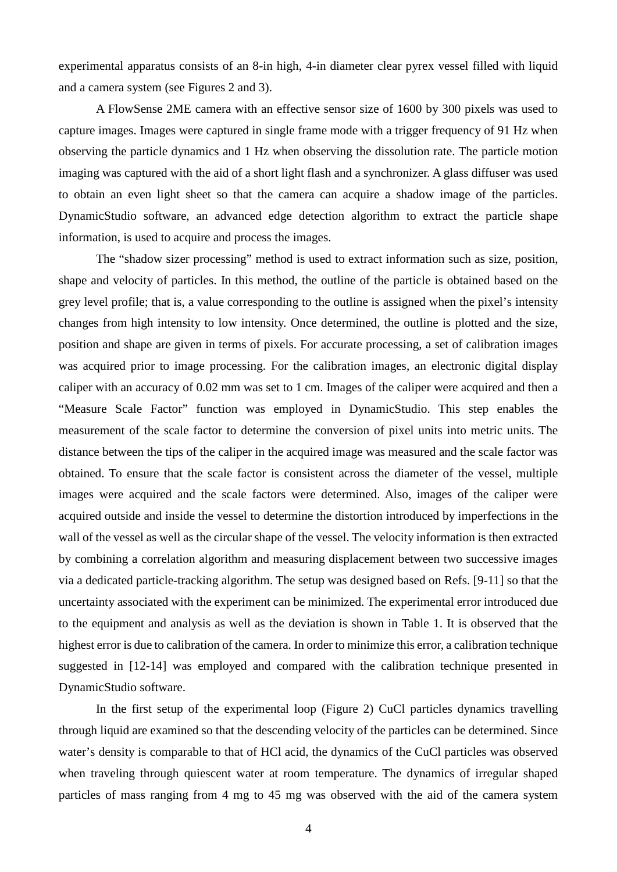experimental apparatus consists of an 8-in high, 4-in diameter clear pyrex vessel filled with liquid and a camera system (see Figures 2 and 3).

A FlowSense 2ME camera with an effective sensor size of 1600 by 300 pixels was used to capture images. Images were captured in single frame mode with a trigger frequency of 91 Hz when observing the particle dynamics and 1 Hz when observing the dissolution rate. The particle motion imaging was captured with the aid of a short light flash and a synchronizer. A glass diffuser was used to obtain an even light sheet so that the camera can acquire a shadow image of the particles. DynamicStudio software, an advanced edge detection algorithm to extract the particle shape information, is used to acquire and process the images.

The "shadow sizer processing" method is used to extract information such as size, position, shape and velocity of particles. In this method, the outline of the particle is obtained based on the grey level profile; that is, a value corresponding to the outline is assigned when the pixel's intensity changes from high intensity to low intensity. Once determined, the outline is plotted and the size, position and shape are given in terms of pixels. For accurate processing, a set of calibration images was acquired prior to image processing. For the calibration images, an electronic digital display caliper with an accuracy of 0.02 mm was set to 1 cm. Images of the caliper were acquired and then a "Measure Scale Factor" function was employed in DynamicStudio. This step enables the measurement of the scale factor to determine the conversion of pixel units into metric units. The distance between the tips of the caliper in the acquired image was measured and the scale factor was obtained. To ensure that the scale factor is consistent across the diameter of the vessel, multiple images were acquired and the scale factors were determined. Also, images of the caliper were acquired outside and inside the vessel to determine the distortion introduced by imperfections in the wall of the vessel as well as the circular shape of the vessel. The velocity information is then extracted by combining a correlation algorithm and measuring displacement between two successive images via a dedicated particle-tracking algorithm. The setup was designed based on Refs. [9-11] so that the uncertainty associated with the experiment can be minimized. The experimental error introduced due to the equipment and analysis as well as the deviation is shown in Table 1. It is observed that the highest error is due to calibration of the camera. In order to minimize this error, a calibration technique suggested in [12-14] was employed and compared with the calibration technique presented in DynamicStudio software.

In the first setup of the experimental loop (Figure 2) CuCl particles dynamics travelling through liquid are examined so that the descending velocity of the particles can be determined. Since water's density is comparable to that of HCl acid, the dynamics of the CuCl particles was observed when traveling through quiescent water at room temperature. The dynamics of irregular shaped particles of mass ranging from 4 mg to 45 mg was observed with the aid of the camera system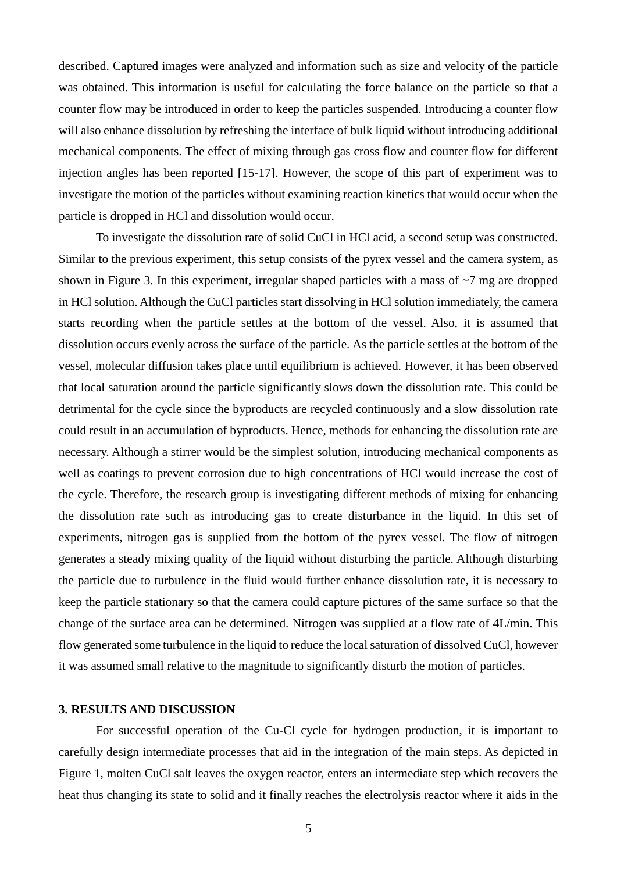described. Captured images were analyzed and information such as size and velocity of the particle was obtained. This information is useful for calculating the force balance on the particle so that a counter flow may be introduced in order to keep the particles suspended. Introducing a counter flow will also enhance dissolution by refreshing the interface of bulk liquid without introducing additional mechanical components. The effect of mixing through gas cross flow and counter flow for different injection angles has been reported [15-17]. However, the scope of this part of experiment was to investigate the motion of the particles without examining reaction kinetics that would occur when the particle is dropped in HCl and dissolution would occur.

To investigate the dissolution rate of solid CuCl in HCl acid, a second setup was constructed. Similar to the previous experiment, this setup consists of the pyrex vessel and the camera system, as shown in Figure 3. In this experiment, irregular shaped particles with a mass of ~7 mg are dropped in HCl solution. Although the CuCl particles start dissolving in HCl solution immediately, the camera starts recording when the particle settles at the bottom of the vessel. Also, it is assumed that dissolution occurs evenly across the surface of the particle. As the particle settles at the bottom of the vessel, molecular diffusion takes place until equilibrium is achieved. However, it has been observed that local saturation around the particle significantly slows down the dissolution rate. This could be detrimental for the cycle since the byproducts are recycled continuously and a slow dissolution rate could result in an accumulation of byproducts. Hence, methods for enhancing the dissolution rate are necessary. Although a stirrer would be the simplest solution, introducing mechanical components as well as coatings to prevent corrosion due to high concentrations of HCl would increase the cost of the cycle. Therefore, the research group is investigating different methods of mixing for enhancing the dissolution rate such as introducing gas to create disturbance in the liquid. In this set of experiments, nitrogen gas is supplied from the bottom of the pyrex vessel. The flow of nitrogen generates a steady mixing quality of the liquid without disturbing the particle. Although disturbing the particle due to turbulence in the fluid would further enhance dissolution rate, it is necessary to keep the particle stationary so that the camera could capture pictures of the same surface so that the change of the surface area can be determined. Nitrogen was supplied at a flow rate of 4L/min. This flow generated some turbulence in the liquid to reduce the local saturation of dissolved CuCl, however it was assumed small relative to the magnitude to significantly disturb the motion of particles.

# **3. RESULTS AND DISCUSSION**

For successful operation of the Cu-Cl cycle for hydrogen production, it is important to carefully design intermediate processes that aid in the integration of the main steps. As depicted in Figure 1, molten CuCl salt leaves the oxygen reactor, enters an intermediate step which recovers the heat thus changing its state to solid and it finally reaches the electrolysis reactor where it aids in the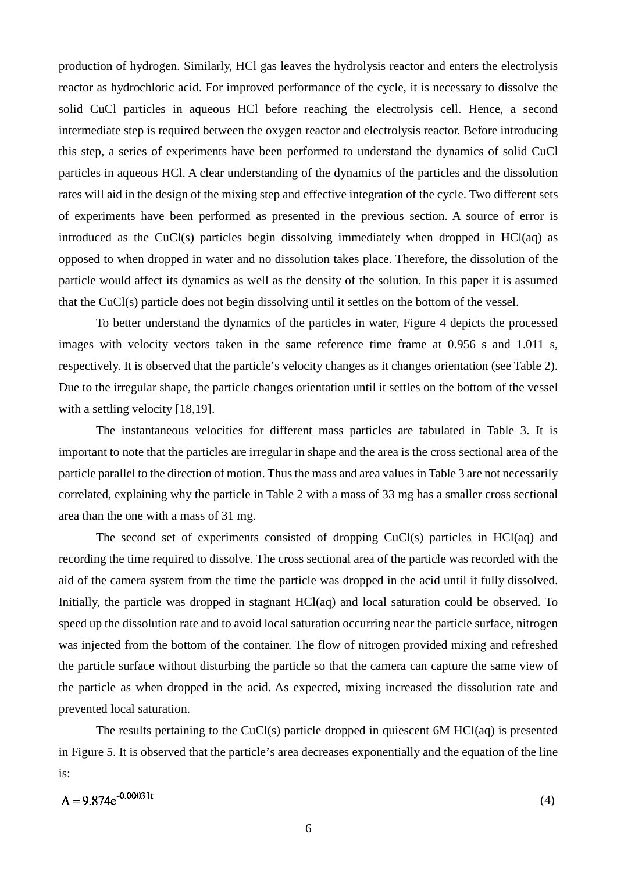production of hydrogen. Similarly, HCl gas leaves the hydrolysis reactor and enters the electrolysis reactor as hydrochloric acid. For improved performance of the cycle, it is necessary to dissolve the solid CuCl particles in aqueous HCl before reaching the electrolysis cell. Hence, a second intermediate step is required between the oxygen reactor and electrolysis reactor. Before introducing this step, a series of experiments have been performed to understand the dynamics of solid CuCl particles in aqueous HCl. A clear understanding of the dynamics of the particles and the dissolution rates will aid in the design of the mixing step and effective integration of the cycle. Two different sets of experiments have been performed as presented in the previous section. A source of error is introduced as the CuCl(s) particles begin dissolving immediately when dropped in HCl(aq) as opposed to when dropped in water and no dissolution takes place. Therefore, the dissolution of the particle would affect its dynamics as well as the density of the solution. In this paper it is assumed that the CuCl(s) particle does not begin dissolving until it settles on the bottom of the vessel.

To better understand the dynamics of the particles in water, Figure 4 depicts the processed images with velocity vectors taken in the same reference time frame at 0.956 s and 1.011 s, respectively. It is observed that the particle's velocity changes as it changes orientation (see Table 2). Due to the irregular shape, the particle changes orientation until it settles on the bottom of the vessel with a settling velocity [18,19].

The instantaneous velocities for different mass particles are tabulated in Table 3. It is important to note that the particles are irregular in shape and the area is the cross sectional area of the particle parallel to the direction of motion. Thus the mass and area values in Table 3 are not necessarily correlated, explaining why the particle in Table 2 with a mass of 33 mg has a smaller cross sectional area than the one with a mass of 31 mg.

The second set of experiments consisted of dropping CuCl(s) particles in HCl(aq) and recording the time required to dissolve. The cross sectional area of the particle was recorded with the aid of the camera system from the time the particle was dropped in the acid until it fully dissolved. Initially, the particle was dropped in stagnant HCl(aq) and local saturation could be observed. To speed up the dissolution rate and to avoid local saturation occurring near the particle surface, nitrogen was injected from the bottom of the container. The flow of nitrogen provided mixing and refreshed the particle surface without disturbing the particle so that the camera can capture the same view of the particle as when dropped in the acid. As expected, mixing increased the dissolution rate and prevented local saturation.

The results pertaining to the CuCl(s) particle dropped in quiescent 6M HCl(aq) is presented in Figure 5. It is observed that the particle's area decreases exponentially and the equation of the line is:

$$
A = 9.874e^{-0.00031t}
$$
 (4)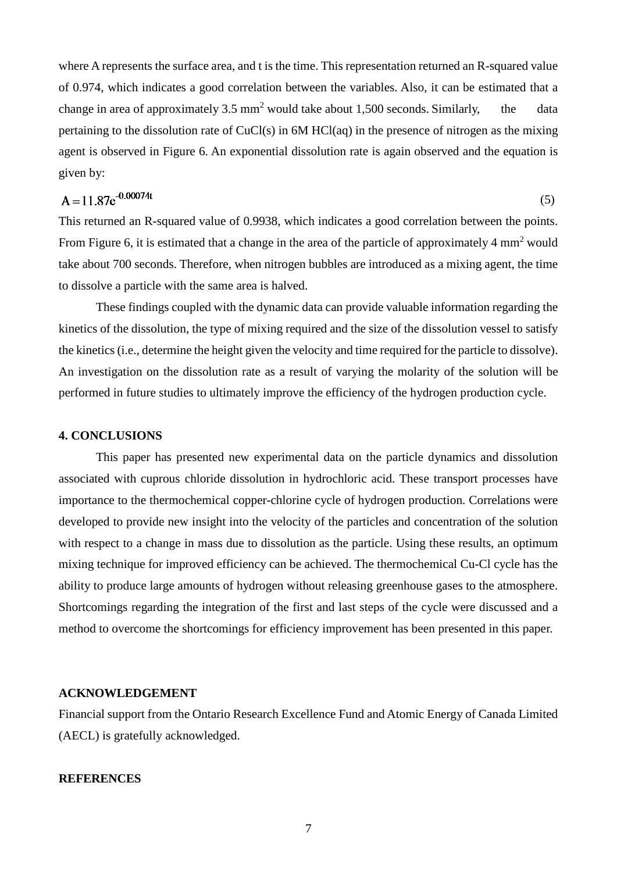where A represents the surface area, and t is the time. This representation returned an R-squared value of 0.974, which indicates a good correlation between the variables. Also, it can be estimated that a change in area of approximately  $3.5 \text{ mm}^2$  would take about 1,500 seconds. Similarly, the data pertaining to the dissolution rate of CuCl(s) in 6M HCl(aq) in the presence of nitrogen as the mixing agent is observed in Figure 6. An exponential dissolution rate is again observed and the equation is given by:

$$
A = 11.87e^{-0.00074t}
$$
 (5)

This returned an R-squared value of 0.9938, which indicates a good correlation between the points. From Figure 6, it is estimated that a change in the area of the particle of approximately 4 mm<sup>2</sup> would take about 700 seconds. Therefore, when nitrogen bubbles are introduced as a mixing agent, the time to dissolve a particle with the same area is halved.

These findings coupled with the dynamic data can provide valuable information regarding the kinetics of the dissolution, the type of mixing required and the size of the dissolution vessel to satisfy the kinetics (i.e., determine the height given the velocity and time required for the particle to dissolve). An investigation on the dissolution rate as a result of varying the molarity of the solution will be performed in future studies to ultimately improve the efficiency of the hydrogen production cycle.

#### **4. CONCLUSIONS**

This paper has presented new experimental data on the particle dynamics and dissolution associated with cuprous chloride dissolution in hydrochloric acid. These transport processes have importance to the thermochemical copper-chlorine cycle of hydrogen production. Correlations were developed to provide new insight into the velocity of the particles and concentration of the solution with respect to a change in mass due to dissolution as the particle. Using these results, an optimum mixing technique for improved efficiency can be achieved. The thermochemical Cu-Cl cycle has the ability to produce large amounts of hydrogen without releasing greenhouse gases to the atmosphere. Shortcomings regarding the integration of the first and last steps of the cycle were discussed and a method to overcome the shortcomings for efficiency improvement has been presented in this paper.

#### **ACKNOWLEDGEMENT**

Financial support from the Ontario Research Excellence Fund and Atomic Energy of Canada Limited (AECL) is gratefully acknowledged.

# **REFERENCES**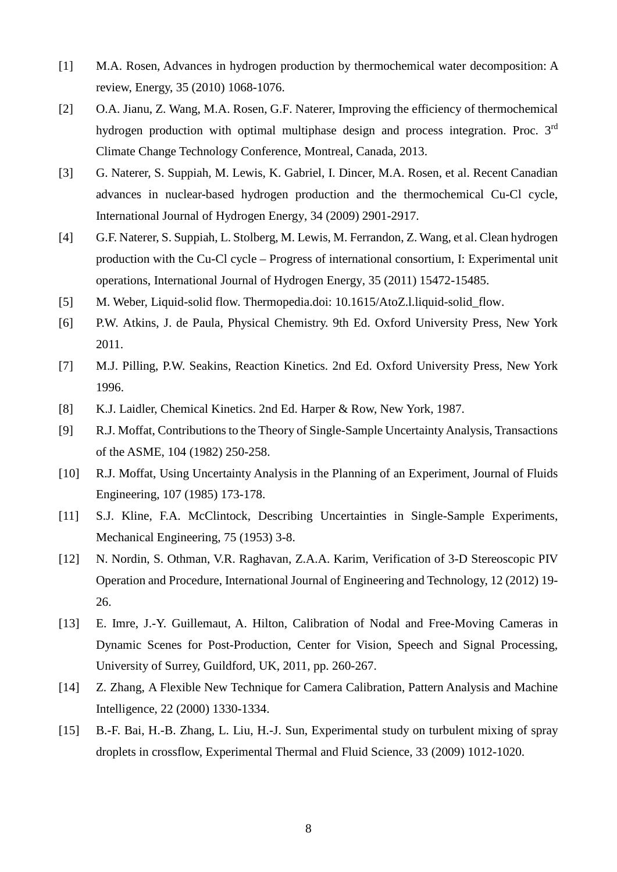- [1] M.A. Rosen, Advances in hydrogen production by thermochemical water decomposition: A review, Energy, 35 (2010) 1068-1076.
- [2] O.A. Jianu, Z. Wang, M.A. Rosen, G.F. Naterer, Improving the efficiency of thermochemical hydrogen production with optimal multiphase design and process integration. Proc. 3rd Climate Change Technology Conference, Montreal, Canada, 2013.
- [3] G. Naterer, S. Suppiah, M. Lewis, K. Gabriel, I. Dincer, M.A. Rosen, et al. Recent Canadian advances in nuclear-based hydrogen production and the thermochemical Cu-Cl cycle, International Journal of Hydrogen Energy, 34 (2009) 2901-2917.
- [4] G.F. Naterer, S. Suppiah, L. Stolberg, M. Lewis, M. Ferrandon, Z. Wang, et al. Clean hydrogen production with the Cu-Cl cycle – Progress of international consortium, I: Experimental unit operations, International Journal of Hydrogen Energy, 35 (2011) 15472-15485.
- [5] M. Weber, Liquid-solid flow. Thermopedia.doi: 10.1615/AtoZ.l.liquid-solid flow.
- [6] P.W. Atkins, J. de Paula, Physical Chemistry. 9th Ed. Oxford University Press, New York 2011.
- [7] M.J. Pilling, P.W. Seakins, Reaction Kinetics. 2nd Ed. Oxford University Press, New York 1996.
- [8] K.J. Laidler, Chemical Kinetics. 2nd Ed. Harper & Row, New York, 1987.
- [9] R.J. Moffat, Contributions to the Theory of Single-Sample Uncertainty Analysis, Transactions of the ASME, 104 (1982) 250-258.
- [10] R.J. Moffat, Using Uncertainty Analysis in the Planning of an Experiment, Journal of Fluids Engineering, 107 (1985) 173-178.
- [11] S.J. Kline, F.A. McClintock, Describing Uncertainties in Single-Sample Experiments, Mechanical Engineering, 75 (1953) 3-8.
- [12] N. Nordin, S. Othman, V.R. Raghavan, Z.A.A. Karim, Verification of 3-D Stereoscopic PIV Operation and Procedure, International Journal of Engineering and Technology, 12 (2012) 19- 26.
- [13] E. Imre, J.-Y. Guillemaut, A. Hilton, Calibration of Nodal and Free-Moving Cameras in Dynamic Scenes for Post-Production, Center for Vision, Speech and Signal Processing, University of Surrey, Guildford, UK, 2011, pp. 260-267.
- [14] Z. Zhang, A Flexible New Technique for Camera Calibration, Pattern Analysis and Machine Intelligence, 22 (2000) 1330-1334.
- [15] B.-F. Bai, H.-B. Zhang, L. Liu, H.-J. Sun, Experimental study on turbulent mixing of spray droplets in crossflow, Experimental Thermal and Fluid Science, 33 (2009) 1012-1020.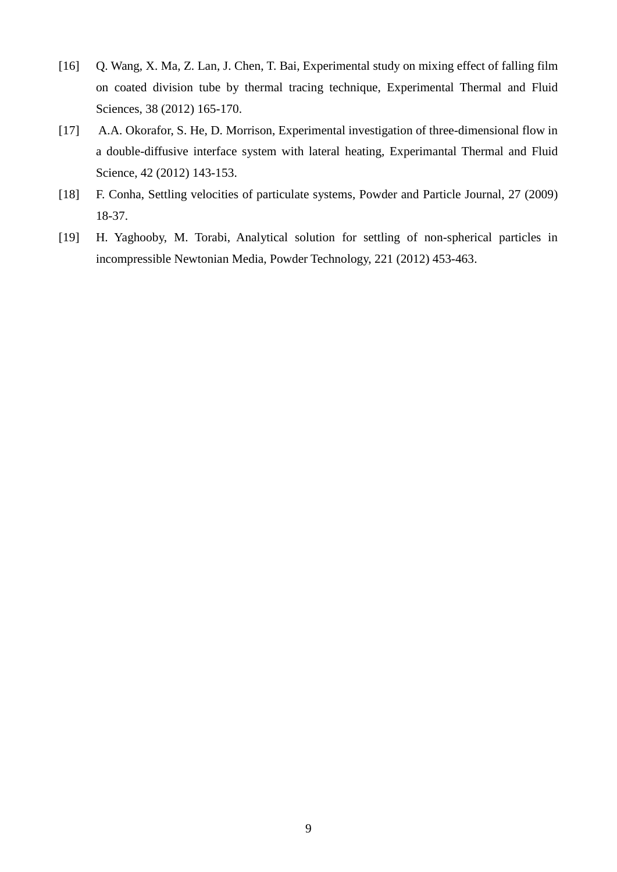- [16] Q. Wang, X. Ma, Z. Lan, J. Chen, T. Bai, Experimental study on mixing effect of falling film on coated division tube by thermal tracing technique, Experimental Thermal and Fluid Sciences, 38 (2012) 165-170.
- [17] A.A. Okorafor, S. He, D. Morrison, Experimental investigation of three-dimensional flow in a double-diffusive interface system with lateral heating, Experimantal Thermal and Fluid Science, 42 (2012) 143-153.
- [18] F. Conha, Settling velocities of particulate systems, Powder and Particle Journal, 27 (2009) 18-37.
- [19] H. Yaghooby, M. Torabi, Analytical solution for settling of non-spherical particles in incompressible Newtonian Media, Powder Technology, 221 (2012) 453-463.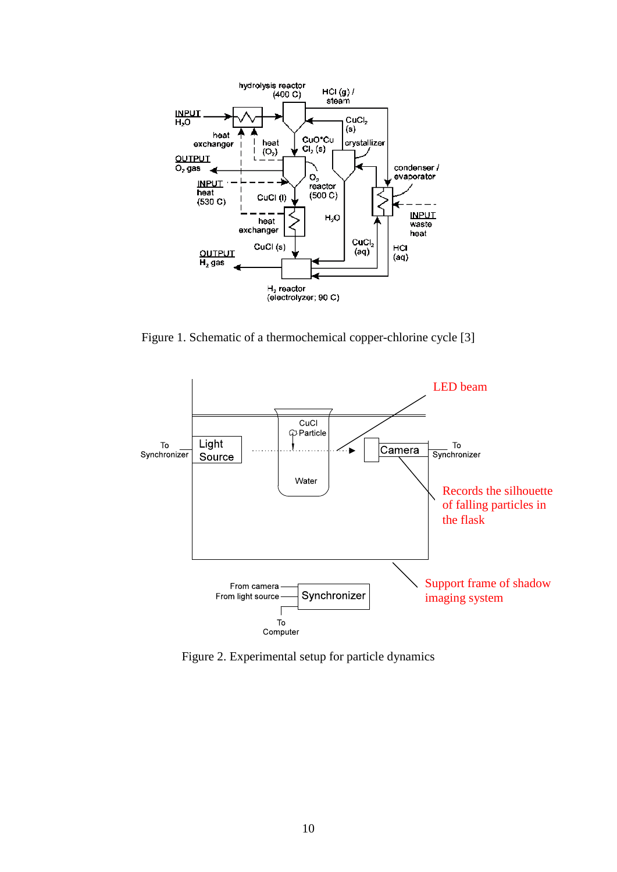

Figure 1. Schematic of a thermochemical copper-chlorine cycle [3]



Figure 2. Experimental setup for particle dynamics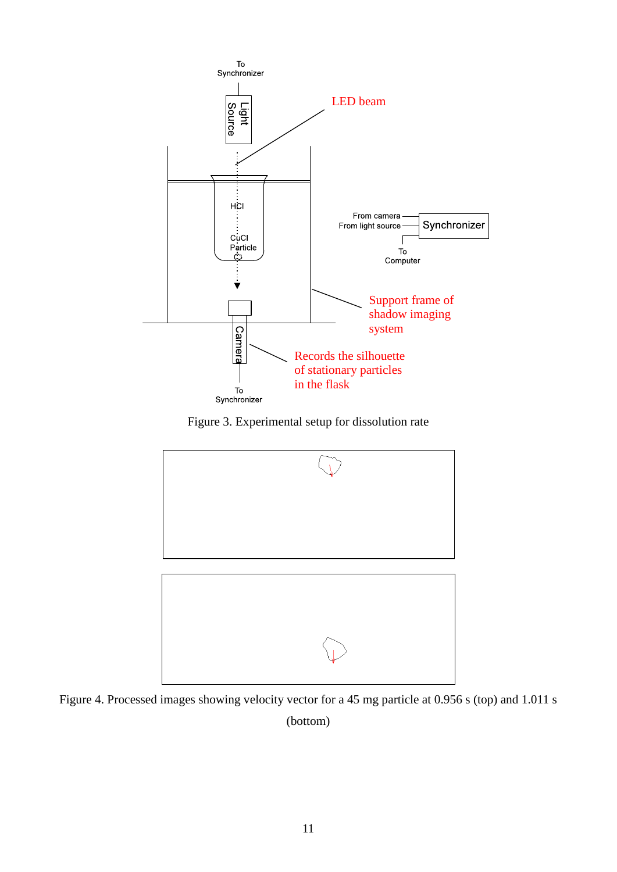

Figure 3. Experimental setup for dissolution rate



Figure 4. Processed images showing velocity vector for a 45 mg particle at 0.956 s (top) and 1.011 s

(bottom)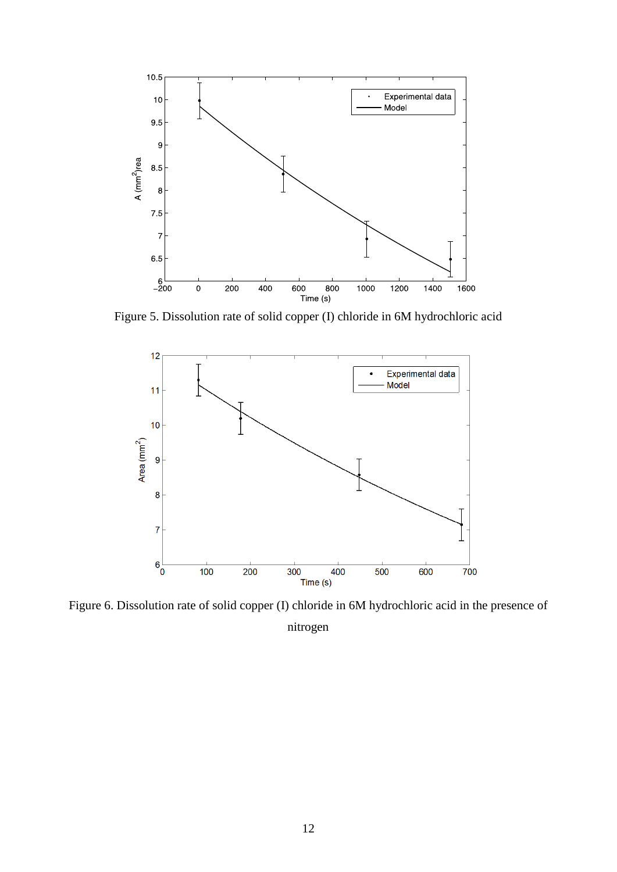

Figure 5. Dissolution rate of solid copper (I) chloride in 6M hydrochloric acid



Figure 6. Dissolution rate of solid copper (I) chloride in 6M hydrochloric acid in the presence of nitrogen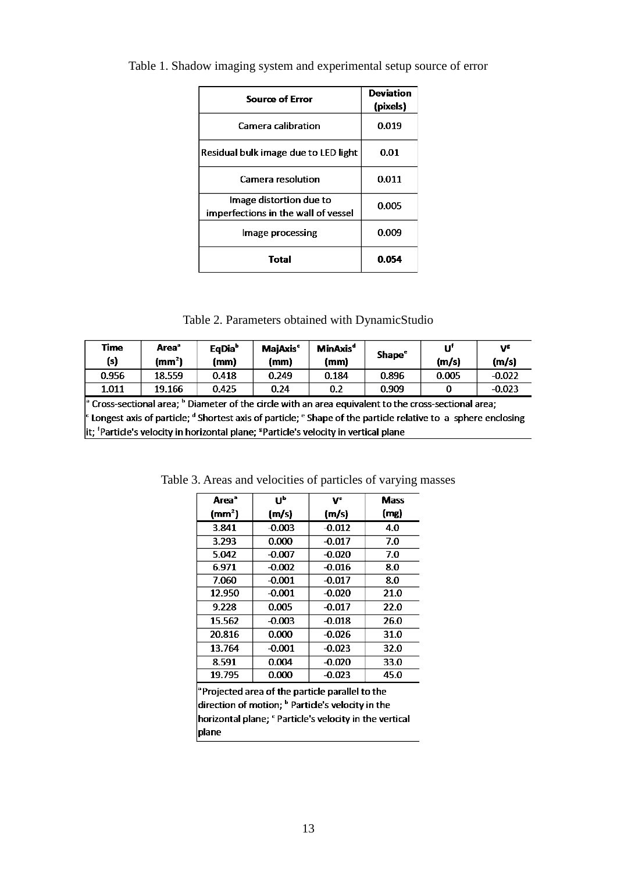| <b>Source of Error</b>                                         | Deviation<br>(pixels) |
|----------------------------------------------------------------|-----------------------|
| Camera calibration                                             | 0.019                 |
| Residual bulk image due to LED light                           | 0.01                  |
| <b>Camera resolution</b>                                       | 0.011                 |
| Image distortion due to<br>imperfections in the wall of vessel | 0.005                 |
| Image processing                                               | 0.009                 |
| Total                                                          | 0.054                 |

Table 1. Shadow imaging system and experimental setup source of error

|  |  |  |  | Table 2. Parameters obtained with DynamicStudio |
|--|--|--|--|-------------------------------------------------|
|--|--|--|--|-------------------------------------------------|

| <b>Time</b><br>(s) | Areaª<br>(mm <sup>2</sup> ) | EqDia <sup>b</sup><br>(mm) | <b>MaiAxis</b> <sup>°</sup><br>(mm) | <b>MinAxis<sup>d</sup></b><br>(mm) | <b>Shape<sup>®</sup></b> | (m/s) | V<br>(m/s) |
|--------------------|-----------------------------|----------------------------|-------------------------------------|------------------------------------|--------------------------|-------|------------|
| 0.956              | 18.559                      | 0.418                      | 0.249                               | 0.184                              | 0.896                    | 0.005 | $-0.022$   |
| 1.011              | 19.166                      | 0.425                      | 0.24                                | 0.2                                | 0.909                    |       | $-0.023$   |
| la est             | .                           |                            |                                     |                                    | .                        |       |            |

Cross-sectional area; <sup>b</sup> Diameter of the circle with an area equivalent to the cross-sectional area; <sup>e</sup> Longest axis of particle; <sup>d</sup> Shortest axis of particle; <sup>e</sup> Shape of the particle relative to a sphere enclosing<br>it; <sup>f</sup>Particle's velocity in horizontal plane; <sup>g</sup>Particle's velocity in vertical plane

| Areaª              | Пp       | V°       | Mass |
|--------------------|----------|----------|------|
| (mm <sup>2</sup> ) | (m/s)    | (m/s)    | (mg) |
| 3.841              | $-0.003$ | $-0.012$ | 4.0  |
| 3.293              | 0.000    | $-0.017$ | 7.0  |
| 5.042              | $-0.007$ | $-0.020$ | 7.0  |
| 6.971              | $-0.002$ | $-0.016$ | 8.0  |
| 7.060              | $-0.001$ | $-0.017$ | 8.0  |
| 12.950             | $-0.001$ | $-0.020$ | 21.0 |
| 9.228              | 0.005    | $-0.017$ | 22.0 |
| 15.562             | $-0.003$ | $-0.018$ | 26.0 |
| 20.816             | 0.000    | $-0.026$ | 31.0 |
| 13.764             | $-0.001$ | $-0.023$ | 32.0 |
| 8.591              | 0.004    | $-0.020$ | 33.0 |
| 19.795             | 0.000    | $-0.023$ | 45.0 |

Table 3. Areas and velocities of particles of varying masses

<sup>a</sup> Projected area of the particle parallel to the direction of motion; <sup>b</sup> Particle's velocity in the horizontal plane; ' Particle's velocity in the vertical plane